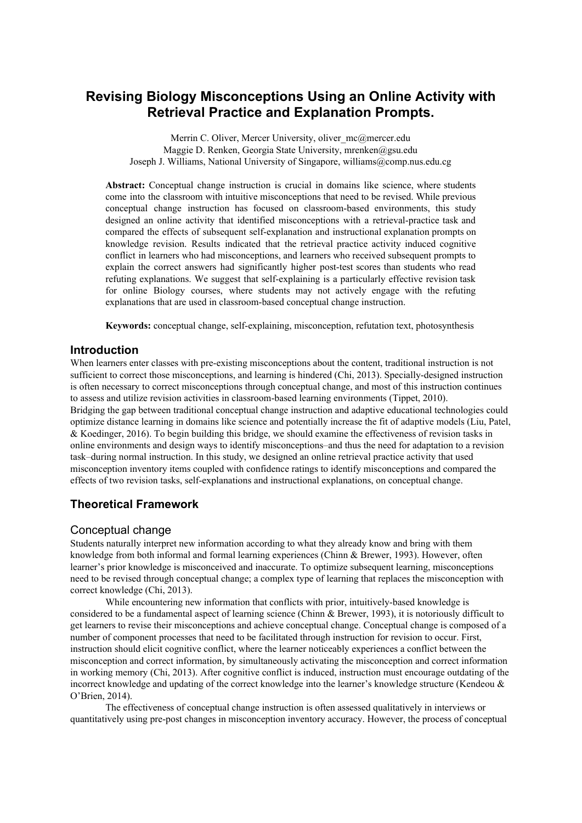# **Revising Biology Misconceptions Using an Online Activity with Retrieval Practice and Explanation Prompts.**

Merrin C. Oliver, Mercer University, oliver mc@mercer.edu Maggie D. Renken, Georgia State University, mrenken@gsu.edu Joseph J. Williams, National University of Singapore, williams@comp.nus.edu.cg

**Abstract:** Conceptual change instruction is crucial in domains like science, where students come into the classroom with intuitive misconceptions that need to be revised. While previous conceptual change instruction has focused on classroom-based environments, this study designed an online activity that identified misconceptions with a retrieval-practice task and compared the effects of subsequent self-explanation and instructional explanation prompts on knowledge revision. Results indicated that the retrieval practice activity induced cognitive conflict in learners who had misconceptions, and learners who received subsequent prompts to explain the correct answers had significantly higher post-test scores than students who read refuting explanations. We suggest that self-explaining is a particularly effective revision task for online Biology courses, where students may not actively engage with the refuting explanations that are used in classroom-based conceptual change instruction.

**Keywords:** conceptual change, self-explaining, misconception, refutation text, photosynthesis

### **Introduction**

When learners enter classes with pre-existing misconceptions about the content, traditional instruction is not sufficient to correct those misconceptions, and learning is hindered (Chi, 2013). Specially-designed instruction is often necessary to correct misconceptions through conceptual change, and most of this instruction continues to assess and utilize revision activities in classroom-based learning environments (Tippet, 2010). Bridging the gap between traditional conceptual change instruction and adaptive educational technologies could optimize distance learning in domains like science and potentially increase the fit of adaptive models (Liu, Patel, & Koedinger, 2016). To begin building this bridge, we should examine the effectiveness of revision tasks in online environments and design ways to identify misconceptions–and thus the need for adaptation to a revision task–during normal instruction. In this study, we designed an online retrieval practice activity that used misconception inventory items coupled with confidence ratings to identify misconceptions and compared the effects of two revision tasks, self-explanations and instructional explanations, on conceptual change.

## **Theoretical Framework**

### Conceptual change

Students naturally interpret new information according to what they already know and bring with them knowledge from both informal and formal learning experiences (Chinn & Brewer, 1993). However, often learner's prior knowledge is misconceived and inaccurate. To optimize subsequent learning, misconceptions need to be revised through conceptual change; a complex type of learning that replaces the misconception with correct knowledge (Chi, 2013).

While encountering new information that conflicts with prior, intuitively-based knowledge is considered to be a fundamental aspect of learning science (Chinn & Brewer, 1993), it is notoriously difficult to get learners to revise their misconceptions and achieve conceptual change. Conceptual change is composed of a number of component processes that need to be facilitated through instruction for revision to occur. First, instruction should elicit cognitive conflict, where the learner noticeably experiences a conflict between the misconception and correct information, by simultaneously activating the misconception and correct information in working memory (Chi, 2013). After cognitive conflict is induced, instruction must encourage outdating of the incorrect knowledge and updating of the correct knowledge into the learner's knowledge structure (Kendeou & O'Brien, 2014).

The effectiveness of conceptual change instruction is often assessed qualitatively in interviews or quantitatively using pre-post changes in misconception inventory accuracy. However, the process of conceptual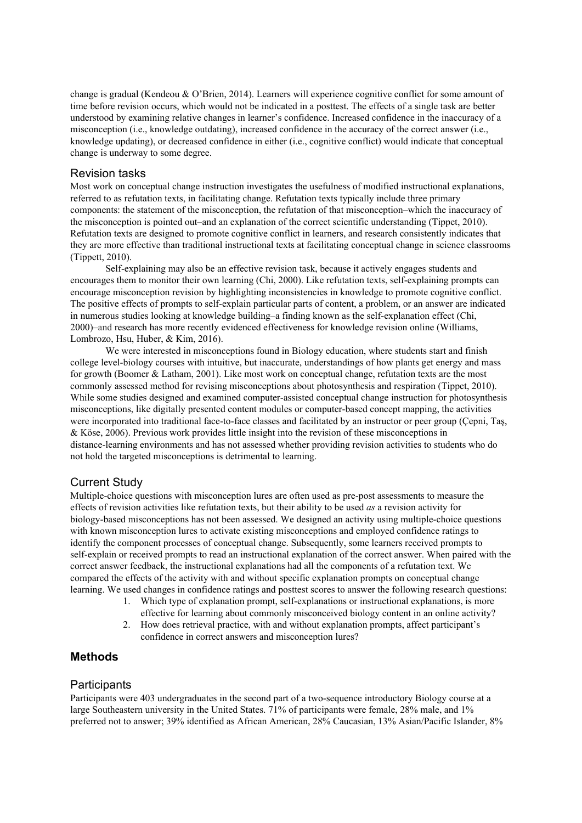change is gradual (Kendeou & O'Brien, 2014). Learners will experience cognitive conflict for some amount of time before revision occurs, which would not be indicated in a posttest. The effects of a single task are better understood by examining relative changes in learner's confidence. Increased confidence in the inaccuracy of a misconception (i.e., knowledge outdating), increased confidence in the accuracy of the correct answer (i.e., knowledge updating), or decreased confidence in either (i.e., cognitive conflict) would indicate that conceptual change is underway to some degree.

#### Revision tasks

Most work on conceptual change instruction investigates the usefulness of modified instructional explanations, referred to as refutation texts, in facilitating change. Refutation texts typically include three primary components: the statement of the misconception, the refutation of that misconception–which the inaccuracy of the misconception is pointed out–and an explanation of the correct scientific understanding (Tippet, 2010). Refutation texts are designed to promote cognitive conflict in learners, and research consistently indicates that they are more effective than traditional instructional texts at facilitating conceptual change in science classrooms (Tippett, 2010).

Self-explaining may also be an effective revision task, because it actively engages students and encourages them to monitor their own learning (Chi, 2000). Like refutation texts, self-explaining prompts can encourage misconception revision by highlighting inconsistencies in knowledge to promote cognitive conflict. The positive effects of prompts to self-explain particular parts of content, a problem, or an answer are indicated in numerous studies looking at knowledge building–a finding known as the self-explanation effect (Chi, 2000)–and research has more recently evidenced effectiveness for knowledge revision online (Williams, Lombrozo, Hsu, Huber, & Kim, 2016).

We were interested in misconceptions found in Biology education, where students start and finish college level-biology courses with intuitive, but inaccurate, understandings of how plants get energy and mass for growth (Boomer & Latham, 2001). Like most work on conceptual change, refutation texts are the most commonly assessed method for revising misconceptions about photosynthesis and respiration (Tippet, 2010). While some studies designed and examined computer-assisted conceptual change instruction for photosynthesis misconceptions, like digitally presented content modules or computer-based concept mapping, the activities were incorporated into traditional face-to-face classes and facilitated by an instructor or peer group (Cepni, Tas, & Köse, 2006). Previous work provides little insight into the revision of these misconceptions in distance-learning environments and has not assessed whether providing revision activities to students who do not hold the targeted misconceptions is detrimental to learning.

### Current Study

Multiple-choice questions with misconception lures are often used as pre-post assessments to measure the effects of revision activities like refutation texts, but their ability to be used *as* a revision activity for biology-based misconceptions has not been assessed. We designed an activity using multiple-choice questions with known misconception lures to activate existing misconceptions and employed confidence ratings to identify the component processes of conceptual change. Subsequently, some learners received prompts to self-explain or received prompts to read an instructional explanation of the correct answer. When paired with the correct answer feedback, the instructional explanations had all the components of a refutation text. We compared the effects of the activity with and without specific explanation prompts on conceptual change learning. We used changes in confidence ratings and posttest scores to answer the following research questions:

- 1. Which type of explanation prompt, self-explanations or instructional explanations, is more effective for learning about commonly misconceived biology content in an online activity?
- 2. How does retrieval practice, with and without explanation prompts, affect participant's confidence in correct answers and misconception lures?

## **Methods**

#### **Participants**

Participants were 403 undergraduates in the second part of a two-sequence introductory Biology course at a large Southeastern university in the United States. 71% of participants were female, 28% male, and 1% preferred not to answer; 39% identified as African American, 28% Caucasian, 13% Asian/Pacific Islander, 8%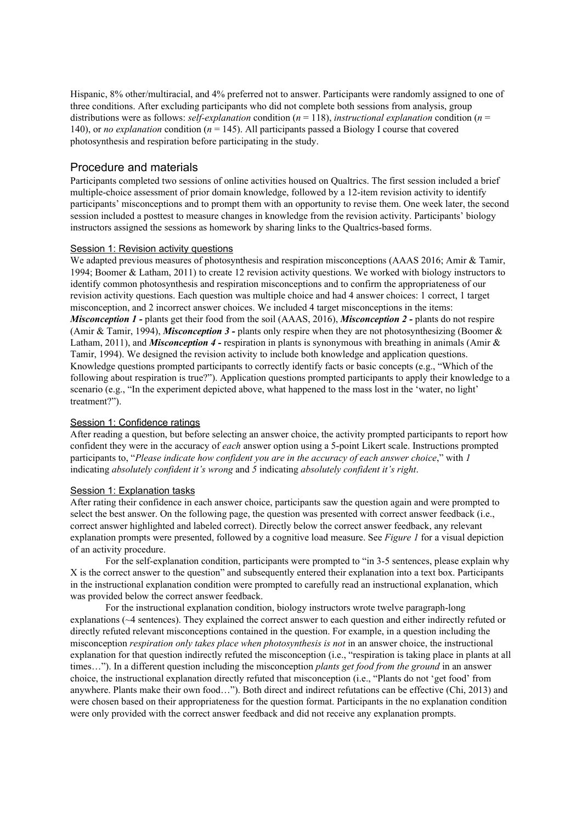Hispanic, 8% other/multiracial, and 4% preferred not to answer. Participants were randomly assigned to one of three conditions. After excluding participants who did not complete both sessions from analysis, group distributions were as follows: *self-explanation* condition (*n* = 118), *instructional explanation* condition (*n* = 140), or *no explanation* condition (*n* = 145). All participants passed a Biology I course that covered photosynthesis and respiration before participating in the study.

## Procedure and materials

Participants completed two sessions of online activities housed on Qualtrics. The first session included a brief multiple-choice assessment of prior domain knowledge, followed by a 12-item revision activity to identify participants' misconceptions and to prompt them with an opportunity to revise them. One week later, the second session included a posttest to measure changes in knowledge from the revision activity. Participants' biology instructors assigned the sessions as homework by sharing links to the Qualtrics-based forms.

#### Session 1: Revision activity questions

We adapted previous measures of photosynthesis and respiration misconceptions (AAAS 2016; Amir & Tamir, 1994; Boomer & Latham, 2011) to create 12 revision activity questions. We worked with biology instructors to identify common photosynthesis and respiration misconceptions and to confirm the appropriateness of our revision activity questions. Each question was multiple choice and had 4 answer choices: 1 correct, 1 target misconception, and 2 incorrect answer choices. We included 4 target misconceptions in the items: *Misconception 1 -* plants get their food from the soil (AAAS, 2016), *Misconception 2 -* plants do not respire (Amir  $\&$  Tamir, 1994), *Misconception*  $3$  - plants only respire when they are not photosynthesizing (Boomer  $\&$ Latham, 2011), and *Misconception* 4 - respiration in plants is synonymous with breathing in animals (Amir & Tamir, 1994). We designed the revision activity to include both knowledge and application questions. Knowledge questions prompted participants to correctly identify facts or basic concepts (e.g., "Which of the following about respiration is true?"). Application questions prompted participants to apply their knowledge to a scenario (e.g., "In the experiment depicted above, what happened to the mass lost in the 'water, no light' treatment?").

#### Session 1: Confidence ratings

After reading a question, but before selecting an answer choice, the activity prompted participants to report how confident they were in the accuracy of *each* answer option using a 5-point Likert scale. Instructions prompted participants to, "*Please indicate how confident you are in the accuracy of each answer choice*," with *1* indicating *absolutely confident it's wrong* and *5* indicating *absolutely confident it's right*.

#### Session 1: Explanation tasks

After rating their confidence in each answer choice, participants saw the question again and were prompted to select the best answer. On the following page, the question was presented with correct answer feedback (i.e., correct answer highlighted and labeled correct). Directly below the correct answer feedback, any relevant explanation prompts were presented, followed by a cognitive load measure. See *Figure 1* for a visual depiction of an activity procedure.

For the self-explanation condition, participants were prompted to "in 3-5 sentences, please explain why X is the correct answer to the question" and subsequently entered their explanation into a text box. Participants in the instructional explanation condition were prompted to carefully read an instructional explanation, which was provided below the correct answer feedback.

For the instructional explanation condition, biology instructors wrote twelve paragraph-long explanations (~4 sentences). They explained the correct answer to each question and either indirectly refuted or directly refuted relevant misconceptions contained in the question. For example, in a question including the misconception *respiration only takes place when photosynthesis is not* in an answer choice, the instructional explanation for that question indirectly refuted the misconception (i.e., "respiration is taking place in plants at all times…"). In a different question including the misconception *plants get food from the ground* in an answer choice, the instructional explanation directly refuted that misconception (i.e., "Plants do not 'get food' from anywhere. Plants make their own food…"). Both direct and indirect refutations can be effective (Chi, 2013) and were chosen based on their appropriateness for the question format. Participants in the no explanation condition were only provided with the correct answer feedback and did not receive any explanation prompts.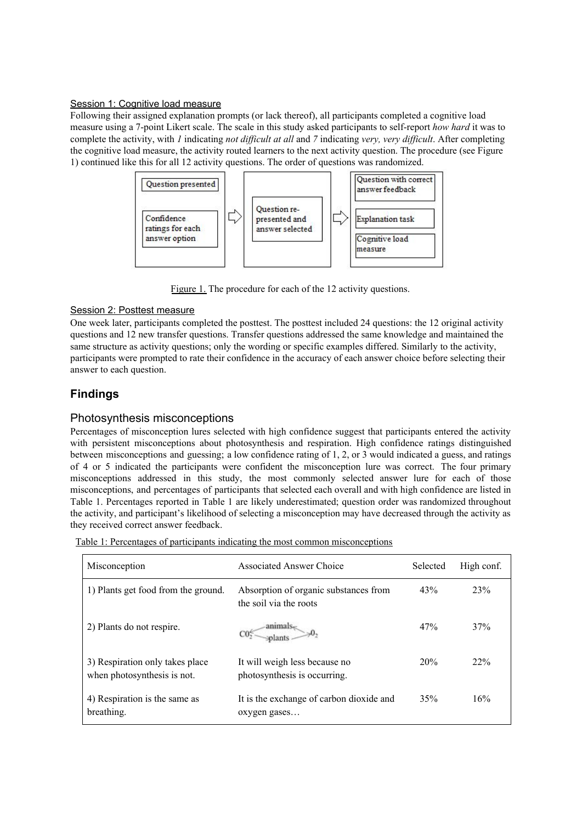#### Session 1: Cognitive load measure

Following their assigned explanation prompts (or lack thereof), all participants completed a cognitive load measure using a 7-point Likert scale. The scale in this study asked participants to self-report *how hard* it was to complete the activity, with *1* indicating *not dif icult at all* and *7* indicating *very, very dif icult*. After completing the cognitive load measure, the activity routed learners to the next activity question. The procedure (see Figure 1) continued like this for all 12 activity questions. The order of questions was randomized.



Figure 1. The procedure for each of the 12 activity questions.

### Session 2: Posttest measure

One week later, participants completed the posttest. The posttest included 24 questions: the 12 original activity questions and 12 new transfer questions. Transfer questions addressed the same knowledge and maintained the same structure as activity questions; only the wording or specific examples differed. Similarly to the activity, participants were prompted to rate their confidence in the accuracy of each answer choice before selecting their answer to each question.

## **Findings**

## Photosynthesis misconceptions

Percentages of misconception lures selected with high confidence suggest that participants entered the activity with persistent misconceptions about photosynthesis and respiration. High confidence ratings distinguished between misconceptions and guessing; a low confidence rating of 1, 2, or 3 would indicated a guess, and ratings of 4 or 5 indicated the participants were confident the misconception lure was correct. The four primary misconceptions addressed in this study, the most commonly selected answer lure for each of those misconceptions, and percentages of participants that selected each overall and with high confidence are listed in Table 1. Percentages reported in Table 1 are likely underestimated; question order was randomized throughout the activity, and participant's likelihood of selecting a misconception may have decreased through the activity as they received correct answer feedback.

| Misconception                                                  | <b>Associated Answer Choice</b>                                 | Selected | High conf. |
|----------------------------------------------------------------|-----------------------------------------------------------------|----------|------------|
| 1) Plants get food from the ground.                            | Absorption of organic substances from<br>the soil via the roots | 43%      | 23%        |
| 2) Plants do not respire.                                      |                                                                 | 47%      | 37%        |
| 3) Respiration only takes place<br>when photosynthesis is not. | It will weigh less because no<br>photosynthesis is occurring.   | 20%      | 22%        |
| 4) Respiration is the same as<br>breathing.                    | It is the exchange of carbon dioxide and<br>oxygen gases        | 35%      | 16%        |

Table 1: Percentages of participants indicating the most common misconceptions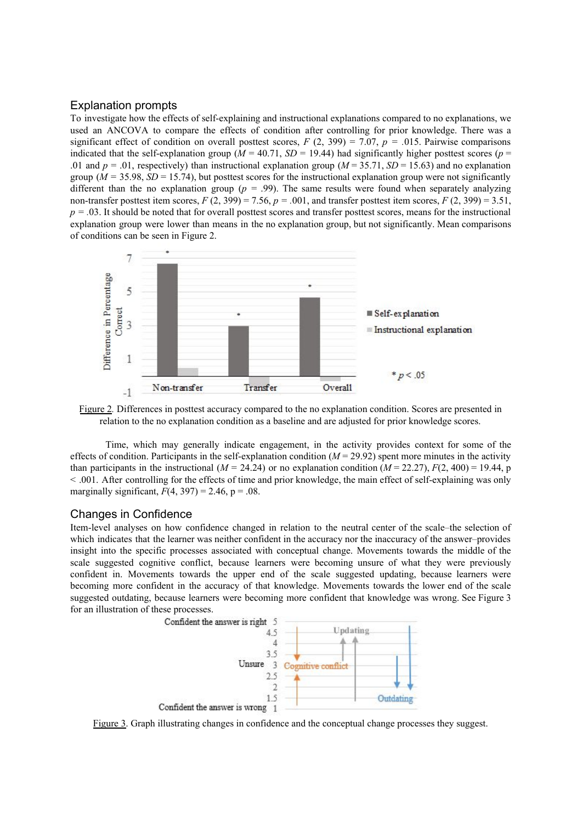### Explanation prompts

To investigate how the effects of self-explaining and instructional explanations compared to no explanations, we used an ANCOVA to compare the effects of condition after controlling for prior knowledge. There was a significant effect of condition on overall posttest scores,  $F(2, 399) = 7.07$ ,  $p = .015$ . Pairwise comparisons indicated that the self-explanation group ( $M = 40.71$ ,  $SD = 19.44$ ) had significantly higher posttest scores ( $p =$ .01 and  $p = .01$ , respectively) than instructional explanation group ( $M = 35.71$ ,  $SD = 15.63$ ) and no explanation group ( $M = 35.98$ ,  $SD = 15.74$ ), but posttest scores for the instructional explanation group were not significantly different than the no explanation group ( $p = .99$ ). The same results were found when separately analyzing non-transfer posttest item scores,  $F(2, 399) = 7.56$ ,  $p = .001$ , and transfer posttest item scores,  $F(2, 399) = 3.51$ ,  $p = 0.03$ . It should be noted that for overall posttest scores and transfer posttest scores, means for the instructional explanation group were lower than means in the no explanation group, but not significantly. Mean comparisons of conditions can be seen in Figure 2.



Figure 2*.* Differences in posttest accuracy compared to the no explanation condition. Scores are presented in relation to the no explanation condition as a baseline and are adjusted for prior knowledge scores.

Time, which may generally indicate engagement, in the activity provides context for some of the effects of condition. Participants in the self-explanation condition  $(M = 29.92)$  spent more minutes in the activity than participants in the instructional ( $M = 24.24$ ) or no explanation condition ( $M = 22.27$ ),  $F(2, 400) = 19.44$ , p < .001. After controlling for the effects of time and prior knowledge, the main effect of self-explaining was only marginally significant,  $F(4, 397) = 2.46$ ,  $p = .08$ .

### Changes in Confidence

Item-level analyses on how confidence changed in relation to the neutral center of the scale–the selection of which indicates that the learner was neither confident in the accuracy nor the inaccuracy of the answer–provides insight into the specific processes associated with conceptual change. Movements towards the middle of the scale suggested cognitive conflict, because learners were becoming unsure of what they were previously confident in. Movements towards the upper end of the scale suggested updating, because learners were becoming more confident in the accuracy of that knowledge. Movements towards the lower end of the scale suggested outdating, because learners were becoming more confident that knowledge was wrong. See Figure 3 for an illustration of these processes.



Figure 3. Graph illustrating changes in confidence and the conceptual change processes they suggest.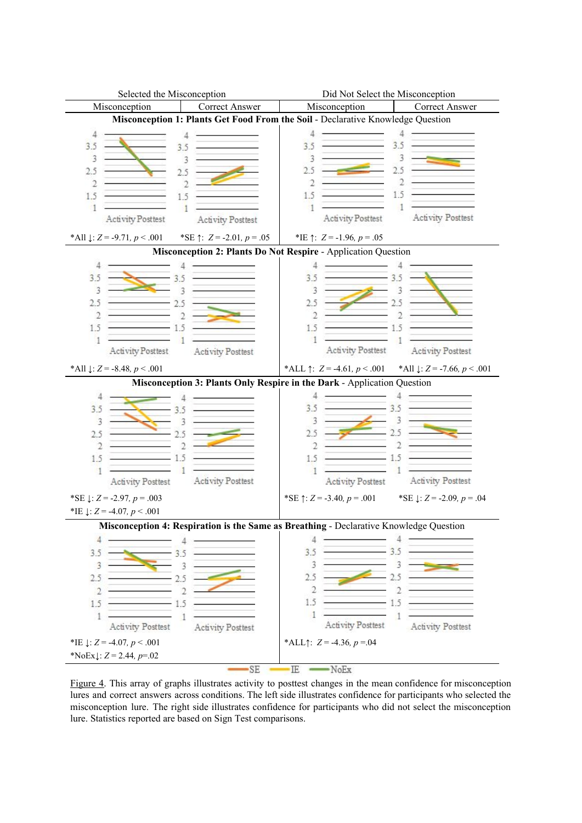

Figure 4. This array of graphs illustrates activity to posttest changes in the mean confidence for misconception lures and correct answers across conditions. The left side illustrates confidence for participants who selected the misconception lure. The right side illustrates confidence for participants who did not select the misconception lure. Statistics reported are based on Sign Test comparisons.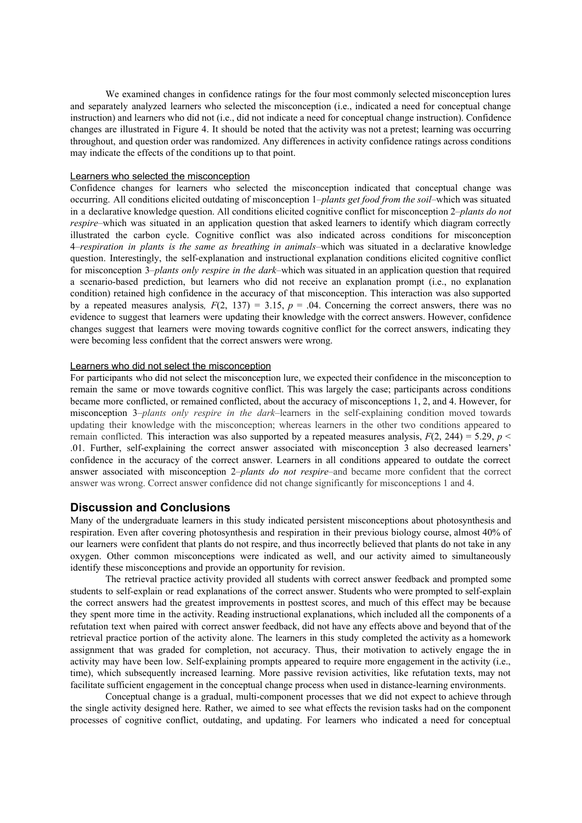We examined changes in confidence ratings for the four most commonly selected misconception lures and separately analyzed learners who selected the misconception (i.e., indicated a need for conceptual change instruction) and learners who did not (i.e., did not indicate a need for conceptual change instruction). Confidence changes are illustrated in Figure 4. It should be noted that the activity was not a pretest; learning was occurring throughout, and question order was randomized. Any differences in activity confidence ratings across conditions may indicate the effects of the conditions up to that point.

#### Learners who selected the misconception

Confidence changes for learners who selected the misconception indicated that conceptual change was occurring. All conditions elicited outdating of misconception 1–*plants get food from the soil*–which was situated in a declarative knowledge question. All conditions elicited cognitive conflict for misconception 2–*plants do not respire–which was situated in an application question that asked learners to identify which diagram correctly* illustrated the carbon cycle. Cognitive conflict was also indicated across conditions for misconception 4–*respiration in plants is the same as breathing in animals*–which was situated in a declarative knowledge question. Interestingly, the self-explanation and instructional explanation conditions elicited cognitive conflict for misconception 3–*plants only respire in the dark*–which was situated in an application question that required a scenario-based prediction, but learners who did not receive an explanation prompt (i.e., no explanation condition) retained high confidence in the accuracy of that misconception. This interaction was also supported by a repeated measures analysis,  $F(2, 137) = 3.15$ ,  $p = .04$ . Concerning the correct answers, there was no evidence to suggest that learners were updating their knowledge with the correct answers. However, confidence changes suggest that learners were moving towards cognitive conflict for the correct answers, indicating they were becoming less confident that the correct answers were wrong.

#### Learners who did not select the misconception

For participants who did not select the misconception lure, we expected their confidence in the misconception to remain the same or move towards cognitive conflict. This was largely the case; participants across conditions became more conflicted, or remained conflicted, about the accuracy of misconceptions 1, 2, and 4. However, for misconception 3–*plants only respire in the dark*–learners in the self-explaining condition moved towards updating their knowledge with the misconception; whereas learners in the other two conditions appeared to remain conflicted. This interaction was also supported by a repeated measures analysis,  $F(2, 244) = 5.29$ ,  $p <$ .01. Further, self-explaining the correct answer associated with misconception 3 also decreased learners' confidence in the accuracy of the correct answer. Learners in all conditions appeared to outdate the correct answer associated with misconception 2–*plants do not respire*–and became more confident that the correct answer was wrong. Correct answer confidence did not change significantly for misconceptions 1 and 4.

#### **Discussion and Conclusions**

Many of the undergraduate learners in this study indicated persistent misconceptions about photosynthesis and respiration. Even after covering photosynthesis and respiration in their previous biology course, almost 40% of our learners were confident that plants do not respire, and thus incorrectly believed that plants do not take in any oxygen. Other common misconceptions were indicated as well, and our activity aimed to simultaneously identify these misconceptions and provide an opportunity for revision.

The retrieval practice activity provided all students with correct answer feedback and prompted some students to self-explain or read explanations of the correct answer. Students who were prompted to self-explain the correct answers had the greatest improvements in posttest scores, and much of this effect may be because they spent more time in the activity. Reading instructional explanations, which included all the components of a refutation text when paired with correct answer feedback, did not have any effects above and beyond that of the retrieval practice portion of the activity alone. The learners in this study completed the activity as a homework assignment that was graded for completion, not accuracy. Thus, their motivation to actively engage the in activity may have been low. Self-explaining prompts appeared to require more engagement in the activity (i.e., time), which subsequently increased learning. More passive revision activities, like refutation texts, may not facilitate sufficient engagement in the conceptual change process when used in distance-learning environments.

Conceptual change is a gradual, multi-component processes that we did not expect to achieve through the single activity designed here. Rather, we aimed to see what effects the revision tasks had on the component processes of cognitive conflict, outdating, and updating. For learners who indicated a need for conceptual